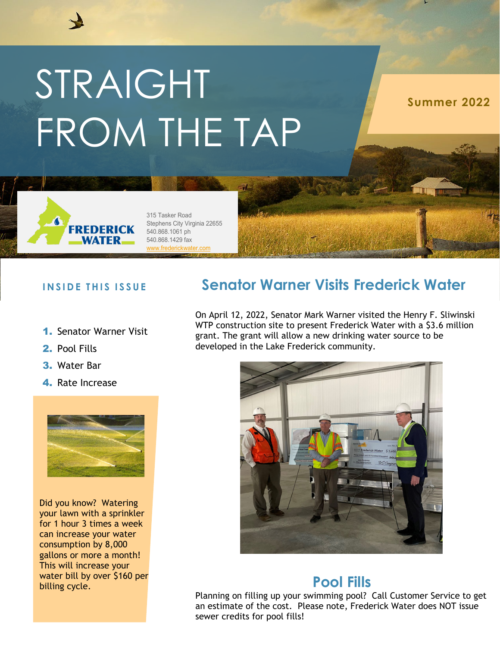# STRAIGHT FROM THE TAP

**Summer 2022**



315 Tasker Road Stephens City Virginia 22655 540.868.1061 ph 540.868.1429 fax [www.frederickwater.com](http://www.frederickwater.com/)

### **INSIDE THIS ISSUE**

- 1. Senator Warner Visit
- 2. Pool Fills
- 3. Water Bar
- 4. Rate Increase



Did you know? Watering your lawn with a sprinkler for 1 hour 3 times a week can increase your water consumption by 8,000 gallons or more a month! This will increase your water bill by over \$160 per billing cycle.

## **Senator Warner Visits Frederick Water**

On April 12, 2022, Senator Mark Warner visited the Henry F. Sliwinski WTP construction site to present Frederick Water with a \$3.6 million grant. The grant will allow a new drinking water source to be developed in the Lake Frederick community.



## **Pool Fills**

Planning on filling up your swimming pool? Call Customer Service to get an estimate of the cost. Please note, Frederick Water does NOT issue sewer credits for pool fills!